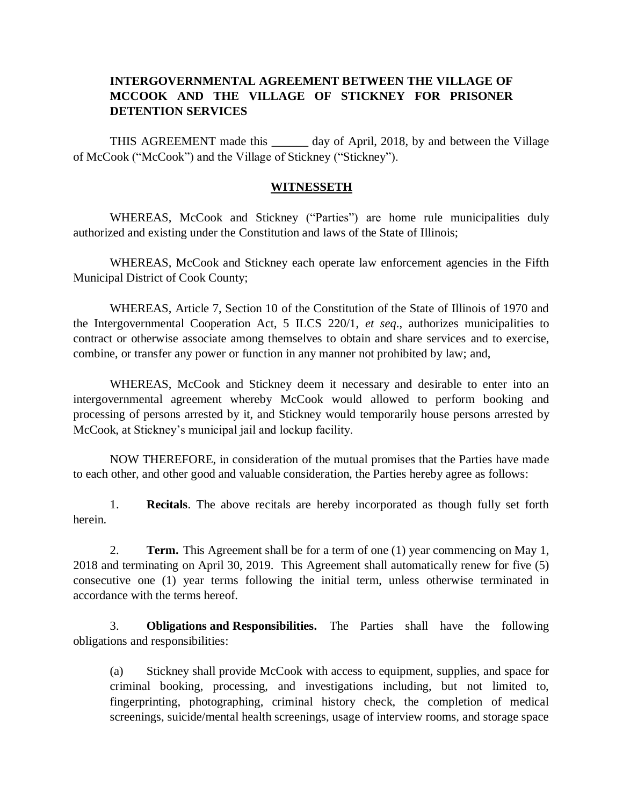## **INTERGOVERNMENTAL AGREEMENT BETWEEN THE VILLAGE OF MCCOOK AND THE VILLAGE OF STICKNEY FOR PRISONER DETENTION SERVICES**

THIS AGREEMENT made this \_\_\_\_\_\_ day of April, 2018, by and between the Village of McCook ("McCook") and the Village of Stickney ("Stickney").

## **WITNESSETH**

WHEREAS, McCook and Stickney ("Parties") are home rule municipalities duly authorized and existing under the Constitution and laws of the State of Illinois;

WHEREAS, McCook and Stickney each operate law enforcement agencies in the Fifth Municipal District of Cook County;

WHEREAS, Article 7, Section 10 of the Constitution of the State of Illinois of 1970 and the Intergovernmental Cooperation Act, 5 ILCS 220/1, *et seq*., authorizes municipalities to contract or otherwise associate among themselves to obtain and share services and to exercise, combine, or transfer any power or function in any manner not prohibited by law; and,

WHEREAS, McCook and Stickney deem it necessary and desirable to enter into an intergovernmental agreement whereby McCook would allowed to perform booking and processing of persons arrested by it, and Stickney would temporarily house persons arrested by McCook, at Stickney's municipal jail and lockup facility.

NOW THEREFORE, in consideration of the mutual promises that the Parties have made to each other, and other good and valuable consideration, the Parties hereby agree as follows:

1. **Recitals**. The above recitals are hereby incorporated as though fully set forth herein.

2. **Term.** This Agreement shall be for a term of one (1) year commencing on May 1, 2018 and terminating on April 30, 2019. This Agreement shall automatically renew for five (5) consecutive one (1) year terms following the initial term, unless otherwise terminated in accordance with the terms hereof.

3. **Obligations and Responsibilities.** The Parties shall have the following obligations and responsibilities:

(a) Stickney shall provide McCook with access to equipment, supplies, and space for criminal booking, processing, and investigations including, but not limited to, fingerprinting, photographing, criminal history check, the completion of medical screenings, suicide/mental health screenings, usage of interview rooms, and storage space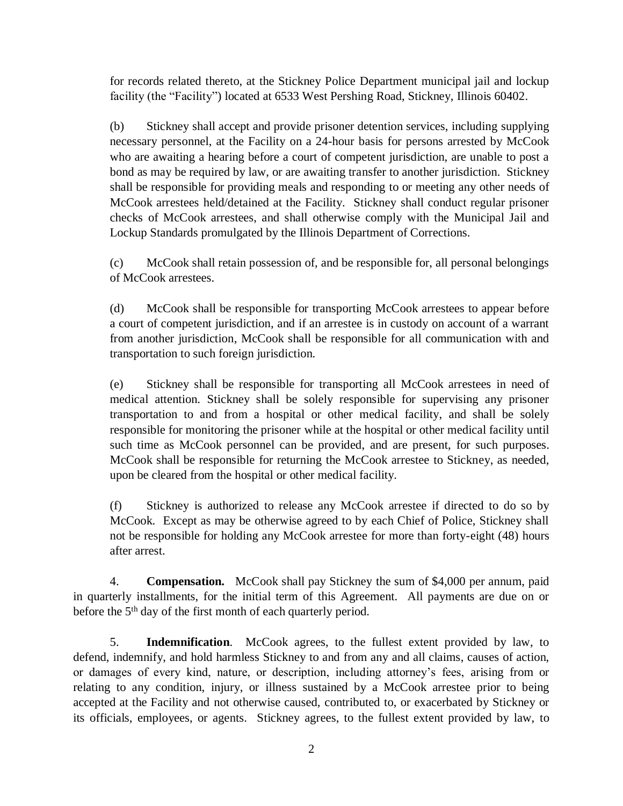for records related thereto, at the Stickney Police Department municipal jail and lockup facility (the "Facility") located at 6533 West Pershing Road, Stickney, Illinois 60402.

(b) Stickney shall accept and provide prisoner detention services, including supplying necessary personnel, at the Facility on a 24-hour basis for persons arrested by McCook who are awaiting a hearing before a court of competent jurisdiction, are unable to post a bond as may be required by law, or are awaiting transfer to another jurisdiction. Stickney shall be responsible for providing meals and responding to or meeting any other needs of McCook arrestees held/detained at the Facility. Stickney shall conduct regular prisoner checks of McCook arrestees, and shall otherwise comply with the Municipal Jail and Lockup Standards promulgated by the Illinois Department of Corrections.

(c) McCook shall retain possession of, and be responsible for, all personal belongings of McCook arrestees.

(d) McCook shall be responsible for transporting McCook arrestees to appear before a court of competent jurisdiction, and if an arrestee is in custody on account of a warrant from another jurisdiction, McCook shall be responsible for all communication with and transportation to such foreign jurisdiction.

(e) Stickney shall be responsible for transporting all McCook arrestees in need of medical attention. Stickney shall be solely responsible for supervising any prisoner transportation to and from a hospital or other medical facility, and shall be solely responsible for monitoring the prisoner while at the hospital or other medical facility until such time as McCook personnel can be provided, and are present, for such purposes. McCook shall be responsible for returning the McCook arrestee to Stickney, as needed, upon be cleared from the hospital or other medical facility.

(f) Stickney is authorized to release any McCook arrestee if directed to do so by McCook. Except as may be otherwise agreed to by each Chief of Police, Stickney shall not be responsible for holding any McCook arrestee for more than forty-eight (48) hours after arrest.

4. **Compensation.** McCook shall pay Stickney the sum of \$4,000 per annum, paid in quarterly installments, for the initial term of this Agreement. All payments are due on or before the 5<sup>th</sup> day of the first month of each quarterly period.

5. **Indemnification**. McCook agrees, to the fullest extent provided by law, to defend, indemnify, and hold harmless Stickney to and from any and all claims, causes of action, or damages of every kind, nature, or description, including attorney's fees, arising from or relating to any condition, injury, or illness sustained by a McCook arrestee prior to being accepted at the Facility and not otherwise caused, contributed to, or exacerbated by Stickney or its officials, employees, or agents. Stickney agrees, to the fullest extent provided by law, to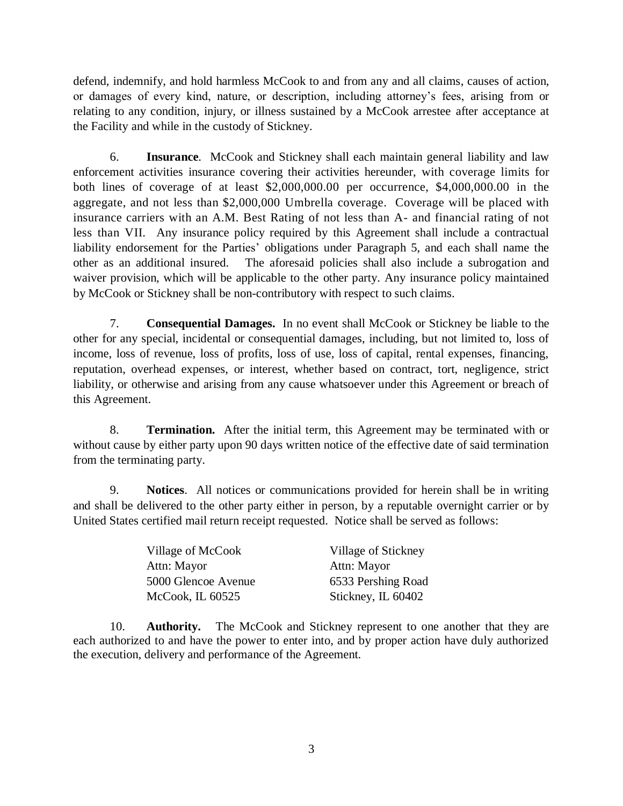defend, indemnify, and hold harmless McCook to and from any and all claims, causes of action, or damages of every kind, nature, or description, including attorney's fees, arising from or relating to any condition, injury, or illness sustained by a McCook arrestee after acceptance at the Facility and while in the custody of Stickney.

6. **Insurance**. McCook and Stickney shall each maintain general liability and law enforcement activities insurance covering their activities hereunder, with coverage limits for both lines of coverage of at least \$2,000,000.00 per occurrence, \$4,000,000.00 in the aggregate, and not less than \$2,000,000 Umbrella coverage. Coverage will be placed with insurance carriers with an A.M. Best Rating of not less than A- and financial rating of not less than VII. Any insurance policy required by this Agreement shall include a contractual liability endorsement for the Parties' obligations under Paragraph 5, and each shall name the other as an additional insured. The aforesaid policies shall also include a subrogation and waiver provision, which will be applicable to the other party. Any insurance policy maintained by McCook or Stickney shall be non-contributory with respect to such claims.

7. **Consequential Damages.** In no event shall McCook or Stickney be liable to the other for any special, incidental or consequential damages, including, but not limited to, loss of income, loss of revenue, loss of profits, loss of use, loss of capital, rental expenses, financing, reputation, overhead expenses, or interest, whether based on contract, tort, negligence, strict liability, or otherwise and arising from any cause whatsoever under this Agreement or breach of this Agreement.

8. **Termination.** After the initial term, this Agreement may be terminated with or without cause by either party upon 90 days written notice of the effective date of said termination from the terminating party.

9. **Notices**. All notices or communications provided for herein shall be in writing and shall be delivered to the other party either in person, by a reputable overnight carrier or by United States certified mail return receipt requested. Notice shall be served as follows:

| Village of McCook   | Village of Stickney |
|---------------------|---------------------|
| Attn: Mayor         | Attn: Mayor         |
| 5000 Glencoe Avenue | 6533 Pershing Road  |
| McCook, IL $60525$  | Stickney, IL 60402  |

10. **Authority.** The McCook and Stickney represent to one another that they are each authorized to and have the power to enter into, and by proper action have duly authorized the execution, delivery and performance of the Agreement.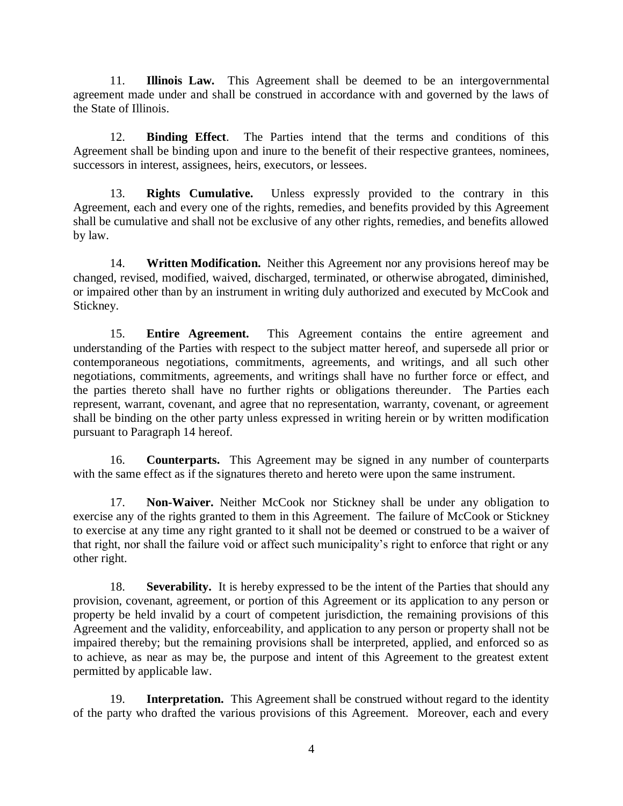11. **Illinois Law.** This Agreement shall be deemed to be an intergovernmental agreement made under and shall be construed in accordance with and governed by the laws of the State of Illinois.

12. **Binding Effect**. The Parties intend that the terms and conditions of this Agreement shall be binding upon and inure to the benefit of their respective grantees, nominees, successors in interest, assignees, heirs, executors, or lessees.

13. **Rights Cumulative.** Unless expressly provided to the contrary in this Agreement, each and every one of the rights, remedies, and benefits provided by this Agreement shall be cumulative and shall not be exclusive of any other rights, remedies, and benefits allowed by law.

14. **Written Modification.** Neither this Agreement nor any provisions hereof may be changed, revised, modified, waived, discharged, terminated, or otherwise abrogated, diminished, or impaired other than by an instrument in writing duly authorized and executed by McCook and Stickney.

15. **Entire Agreement.** This Agreement contains the entire agreement and understanding of the Parties with respect to the subject matter hereof, and supersede all prior or contemporaneous negotiations, commitments, agreements, and writings, and all such other negotiations, commitments, agreements, and writings shall have no further force or effect, and the parties thereto shall have no further rights or obligations thereunder. The Parties each represent, warrant, covenant, and agree that no representation, warranty, covenant, or agreement shall be binding on the other party unless expressed in writing herein or by written modification pursuant to Paragraph 14 hereof.

16. **Counterparts.** This Agreement may be signed in any number of counterparts with the same effect as if the signatures thereto and hereto were upon the same instrument.

17. **Non-Waiver.** Neither McCook nor Stickney shall be under any obligation to exercise any of the rights granted to them in this Agreement. The failure of McCook or Stickney to exercise at any time any right granted to it shall not be deemed or construed to be a waiver of that right, nor shall the failure void or affect such municipality's right to enforce that right or any other right.

18. **Severability.** It is hereby expressed to be the intent of the Parties that should any provision, covenant, agreement, or portion of this Agreement or its application to any person or property be held invalid by a court of competent jurisdiction, the remaining provisions of this Agreement and the validity, enforceability, and application to any person or property shall not be impaired thereby; but the remaining provisions shall be interpreted, applied, and enforced so as to achieve, as near as may be, the purpose and intent of this Agreement to the greatest extent permitted by applicable law.

19. **Interpretation.** This Agreement shall be construed without regard to the identity of the party who drafted the various provisions of this Agreement. Moreover, each and every